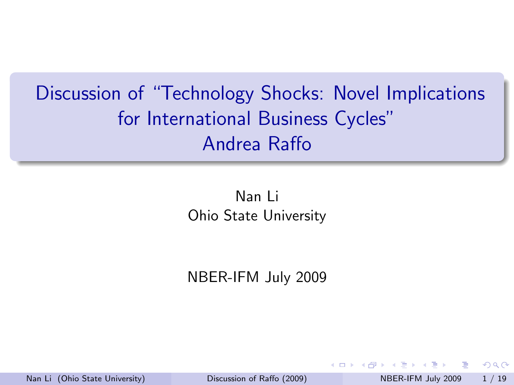# Discussion of "Technology Shocks: Novel Implications for International Business Cycles" Andrea Raffo

Nan Li Ohio State University

NBER-IFM July 2009

 $\rightarrow$   $\equiv$   $\rightarrow$ Nan Li (Ohio State University) [Discussion of Raffo \(2009\)](#page-28-0) NBER-IFM July 2009 1 / 19

<span id="page-0-0"></span> $QQ$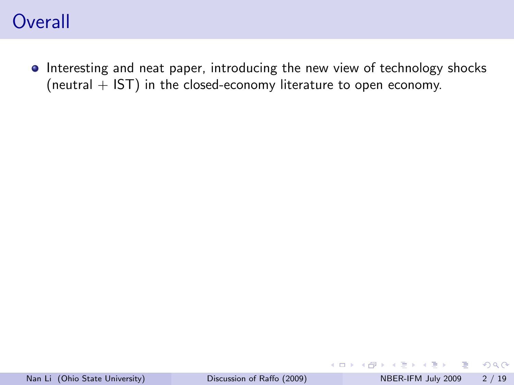### **Overall**

• Interesting and neat paper, introducing the new view of technology shocks (neutral  $+$  IST) in the closed-economy literature to open economy.

画

イロト イ押ト イヨト イヨト

 $QQ$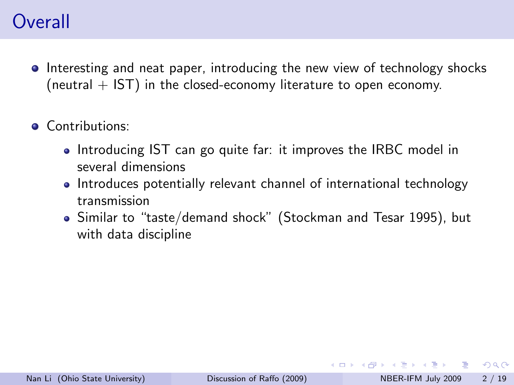# **Overall**

- Interesting and neat paper, introducing the new view of technology shocks (neutral  $+$  IST) in the closed-economy literature to open economy.
- **a** Contributions:
	- Introducing IST can go quite far: it improves the IRBC model in several dimensions
	- Introduces potentially relevant channel of international technology transmission
	- Similar to "taste/demand shock" (Stockman and Tesar 1995), but with data discipline

 $QQ$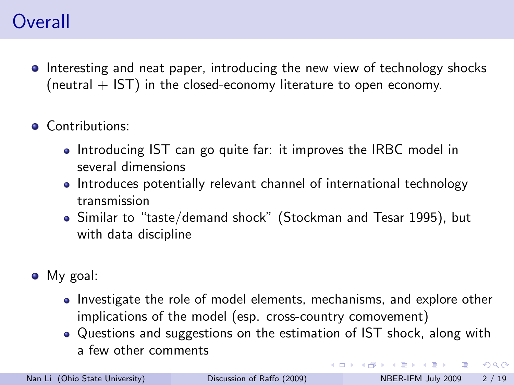# **Overall**

- Interesting and neat paper, introducing the new view of technology shocks (neutral  $+$  IST) in the closed-economy literature to open economy.
- **a** Contributions:
	- Introducing IST can go quite far: it improves the IRBC model in several dimensions
	- Introduces potentially relevant channel of international technology transmission
	- Similar to "taste/demand shock" (Stockman and Tesar 1995), but with data discipline
- My goal:
	- Investigate the role of model elements, mechanisms, and explore other implications of the model (esp. cross-country comovement)
	- Questions and suggestions on the estimation of IST shock, along with a few other comments

 $QQ$ 

 $\left\{ \begin{array}{ccc} 1 & 0 & 0 \\ 0 & 1 & 0 \end{array} \right.$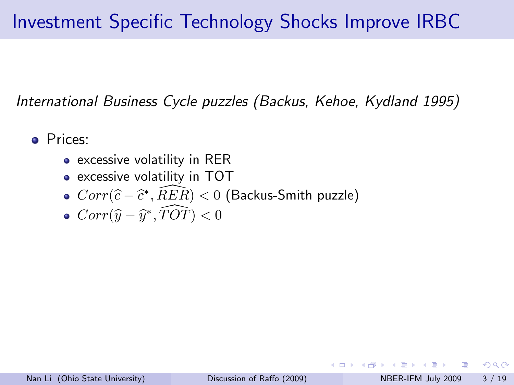# Investment Specific Technology Shocks Improve IRBC

International Business Cycle puzzles (Backus, Kehoe, Kydland 1995)

Prices:

- excessive volatility in RER
- excessive volatility in TOT
- $Corr(\widehat{c} \widehat{c}^*, \widehat{RER}) < 0$  (Backus-Smith puzzle)
- $Corr(\widehat{y} \widehat{y}^*, \widehat{TOT}) < 0$

 $\Omega$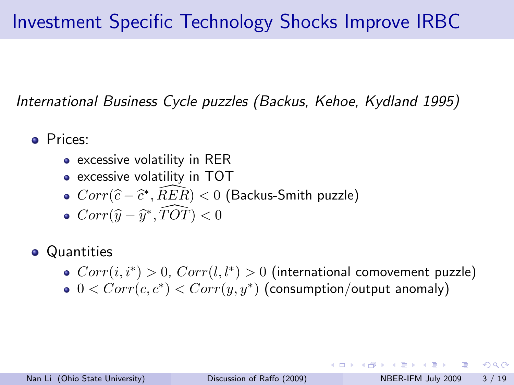# Investment Specific Technology Shocks Improve IRBC

International Business Cycle puzzles (Backus, Kehoe, Kydland 1995)

- Prices:
	- excessive volatility in RER
	- excessive volatility in TOT
	- $Corr(\widehat{c} \widehat{c}^*, \widehat{RER}) < 0$  (Backus-Smith puzzle)
	- $Corr(\widehat{y} \widehat{y}^*, \widehat{TOT}) < 0$
- **•** Quantities
	- $Corr(i, i^*) > 0$ ,  $Corr(l, l^*) > 0$  (international comovement puzzle)
	- $0 < Corr(c, c^*) < Corr(y, y^*)$  (consumption/output anomaly)

KET KEN KEN (EN 1900)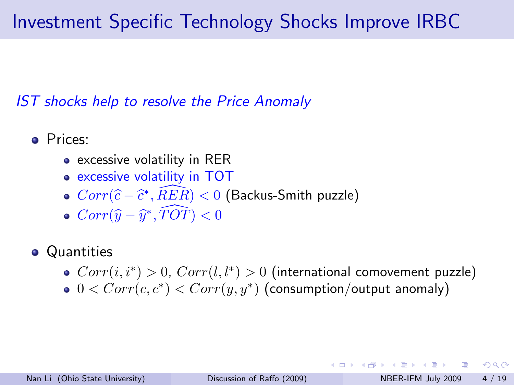# Investment Specific Technology Shocks Improve IRBC

IST shocks help to resolve the Price Anomaly

- Prices:
	- excessive volatility in RER
	- excessive volatility in TOT
	- $Corr(\widehat{c} \widehat{c}^*, \widehat{RER}) < 0$  (Backus-Smith puzzle)
	- $Corr(\widehat{y} \widehat{y}^*, \widehat{TOT}) < 0$
- **•** Quantities
	- $Corr(i, i^*) > 0$ ,  $Corr(l, l^*) > 0$  (international comovement puzzle)
	- $0 < Corr(c, c^*) < Corr(y, y^*)$  (consumption/output anomaly)

 $\Omega$ 

K ロ X - 제 P X - 제 파 X - 파 파 파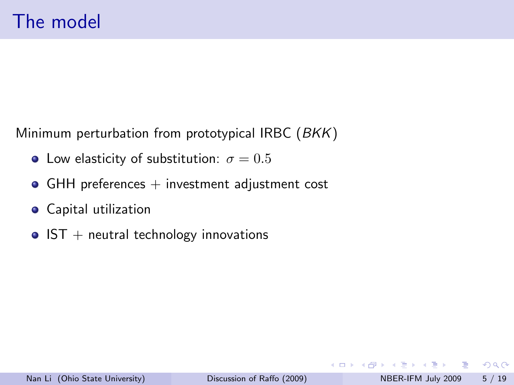Minimum perturbation from prototypical IRBC (BKK)

- Low elasticity of substitution:  $\sigma = 0.5$
- $\bullet$  GHH preferences  $+$  investment adjustment cost
- **•** Capital utilization
- $\bullet$  IST + neutral technology innovations

4 D F

画

 $\Omega$ 

→ 何 ▶ → ヨ ▶ → ヨ ▶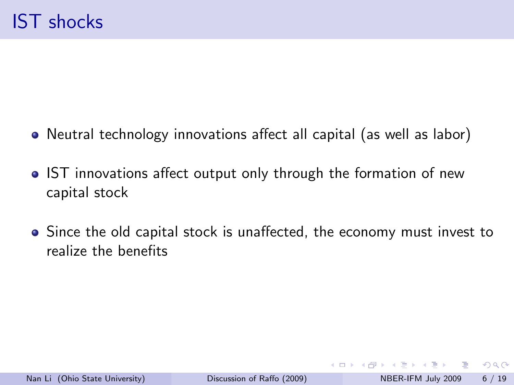- Neutral technology innovations affect all capital (as well as labor)
- IST innovations affect output only through the formation of new capital stock
- Since the old capital stock is unaffected, the economy must invest to realize the benefits

 $QQ$ 

- 4母 ト 4 ヨ ト 4 ヨ ト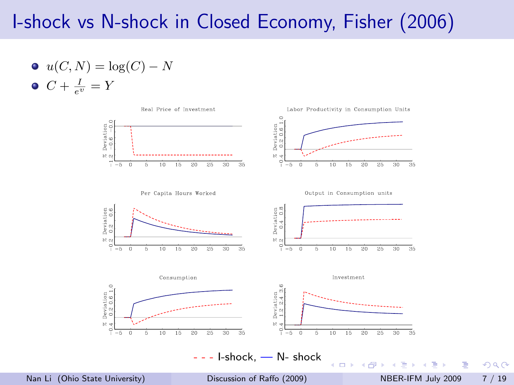### I-shock vs N-shock in Closed Economy, Fisher (2006)

\n- $$
u(C, N) = \log(C) - N
$$
\n- $C + \frac{I}{e^v} = Y$
\n



Nan Li (Ohio State University) [Discussion of Raffo \(2009\)](#page-0-0) NBER-IFM July 2009 7 / 19

D.

 $OQ$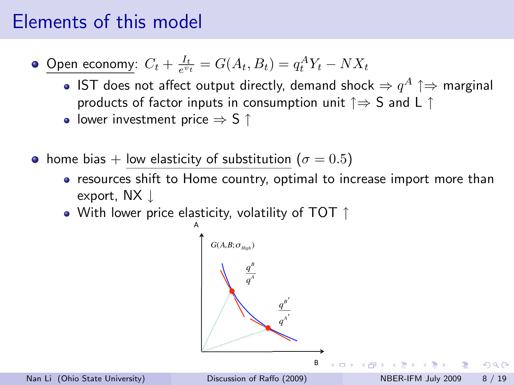### Elements of this model

Open economy:  $C_t + \frac{I_t}{e^{v_t}} = G(A_t, B_t) = q_t^A Y_t - N X_t$ 

- IST does not affect output directly, demand shock  $\Rightarrow q^{A} \uparrow \Rightarrow$  marginal products of factor inputs in consumption unit  $\uparrow \Rightarrow S$  and L  $\uparrow$
- lower investment price  $\Rightarrow$  S  $\uparrow$
- home bias + low elasticity of substitution ( $\sigma = 0.5$ )
	- resources shift to Home country, optimal to increase import more than export, NX ↓
	- $\bullet$  With lower price elasticity, volatility of TOT  $\uparrow$

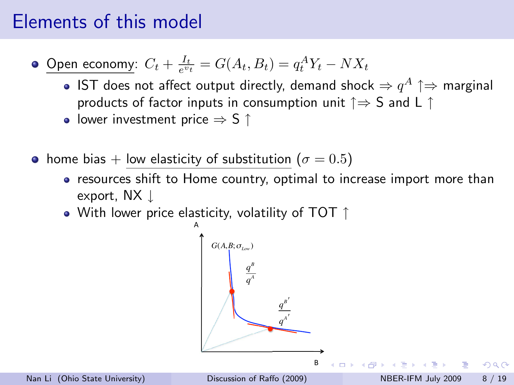### Elements of this model

Open economy:  $C_t + \frac{I_t}{e^{v_t}} = G(A_t, B_t) = q_t^A Y_t - N X_t$ 

- IST does not affect output directly, demand shock  $\Rightarrow q^{A} \uparrow \Rightarrow$  marginal products of factor inputs in consumption unit  $\uparrow \Rightarrow S$  and L  $\uparrow$
- lower investment price  $\Rightarrow$  S  $\uparrow$
- home bias + low elasticity of substitution ( $\sigma = 0.5$ )
	- resources shift to Home country, optimal to increase import more than export, NX ↓
	- $\bullet$  With lower price elasticity, volatility of TOT  $\uparrow$

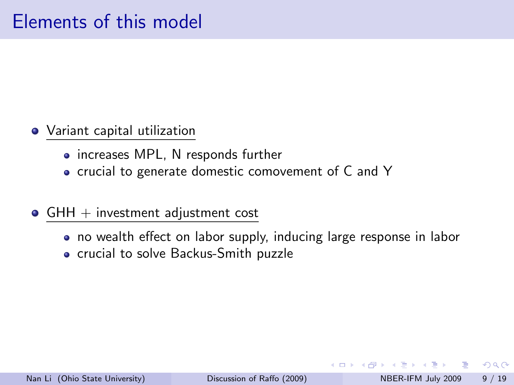- Variant capital utilization
	- increases MPL, N responds further
	- crucial to generate domestic comovement of C and Y
- $\bullet$  GHH  $+$  investment adjustment cost
	- no wealth effect on labor supply, inducing large response in labor
	- **•** crucial to solve Backus-Smith puzzle

 $\Omega$ 

**ALC: N**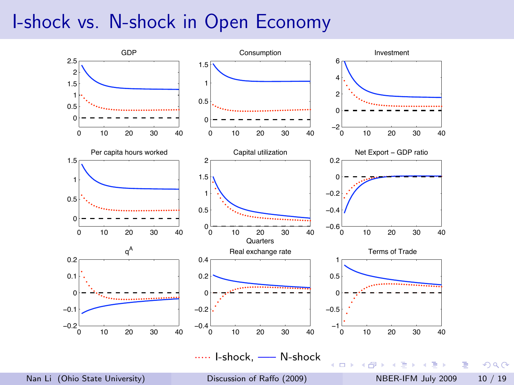#### I-shock vs. N-shock in Open Economy

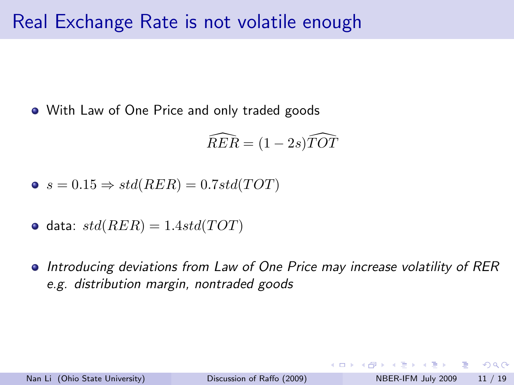With Law of One Price and only traded goods

$$
\widehat{RER} = (1 - 2s)\widehat{TOT}
$$

$$
\bullet \ s = 0.15 \Rightarrow std(RER) = 0.7std(TOT)
$$

$$
\bullet\ \text{data: } std(RER) = 1.4std(TOT)
$$

Introducing deviations from Law of One Price may increase volatility of RER e.g. distribution margin, nontraded goods

 $QQ$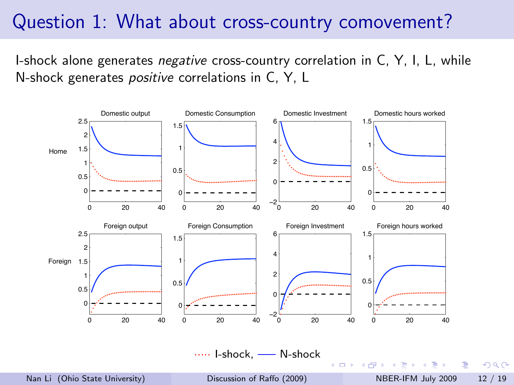#### Question 1: What about cross-country comovement?

I-shock alone generates *negative* cross-country correlation in C, Y, I, L, while N-shock generates positive correlations in C, Y, L

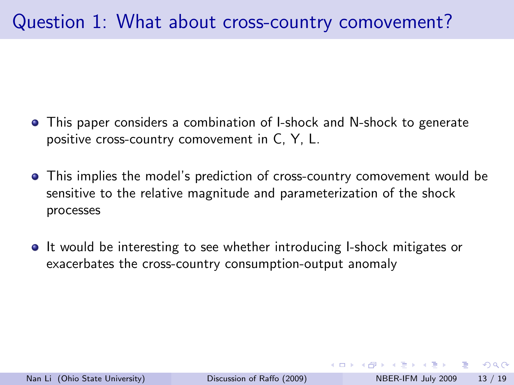- This paper considers a combination of I-shock and N-shock to generate positive cross-country comovement in C, Y, L.
- This implies the model's prediction of cross-country comovement would be sensitive to the relative magnitude and parameterization of the shock processes
- **It would be interesting to see whether introducing I-shock mitigates or** exacerbates the cross-country consumption-output anomaly

 $\Omega$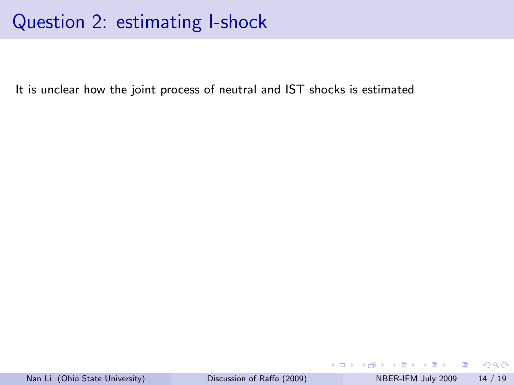It is unclear how the joint process of neutral and IST shocks is estimated

 $\equiv$ 

イロト イ母 トイヨ トイヨト

 $OQ$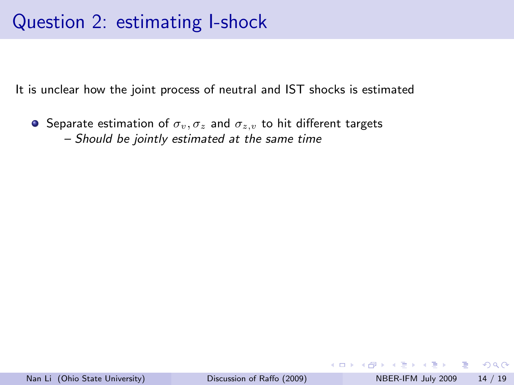It is unclear how the joint process of neutral and IST shocks is estimated

**•** Separate estimation of  $\sigma_v, \sigma_z$  and  $\sigma_{z,v}$  to hit different targets – Should be jointly estimated at the same time

÷

 $QQ$ 

医单位 医单位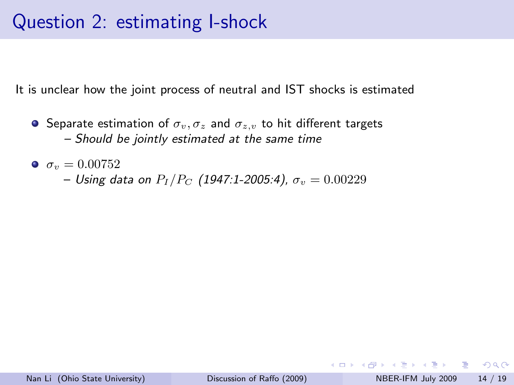It is unclear how the joint process of neutral and IST shocks is estimated

- **•** Separate estimation of  $\sigma_v, \sigma_z$  and  $\sigma_{z,v}$  to hit different targets – Should be jointly estimated at the same time
- $\sigma_v = 0.00752$ 
	- Using data on  $P_I/P_C$  (1947:1-2005:4),  $\sigma_v = 0.00229$

 $\Omega$ ÷

化重氮 化重氮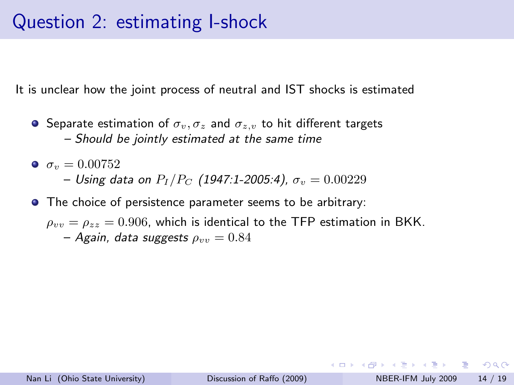It is unclear how the joint process of neutral and IST shocks is estimated

- **•** Separate estimation of  $\sigma_v, \sigma_z$  and  $\sigma_{z,v}$  to hit different targets – Should be jointly estimated at the same time
- $\sigma_v = 0.00752$ 
	- Using data on  $P_I/P_C$  (1947:1-2005:4),  $\sigma_v = 0.00229$
- **•** The choice of persistence parameter seems to be arbitrary:
	- $\rho_{vv} = \rho_{zz} = 0.906$ , which is identical to the TFP estimation in BKK. – Again, data suggests  $\rho_{vv} = 0.84$

 $\Omega$ э.

→ 何 ▶ → ヨ ▶ → ヨ ▶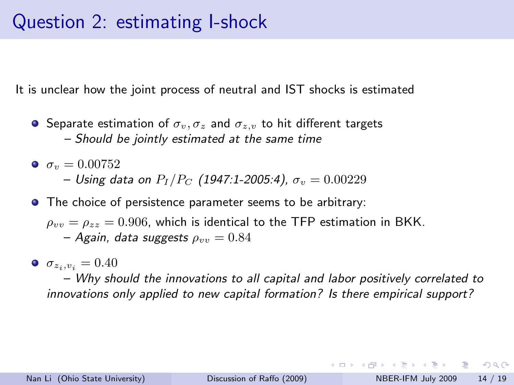It is unclear how the joint process of neutral and IST shocks is estimated

- **•** Separate estimation of  $\sigma_v, \sigma_z$  and  $\sigma_{z,v}$  to hit different targets – Should be jointly estimated at the same time
- $\sigma_v = 0.00752$ – Using data on  $P_I/P_C$  (1947:1-2005:4),  $\sigma_v = 0.00229$
- **•** The choice of persistence parameter seems to be arbitrary:
	- $\rho_{vv} = \rho_{zz} = 0.906$ , which is identical to the TFP estimation in BKK. – Again, data suggests  $\rho_{vv} = 0.84$
- $\sigma_{z_i, v_i} = 0.40$

– Why should the innovations to all capital and labor positively correlated to innovations only applied to new capital formation? Is there empirical support?

 $=$   $\Omega$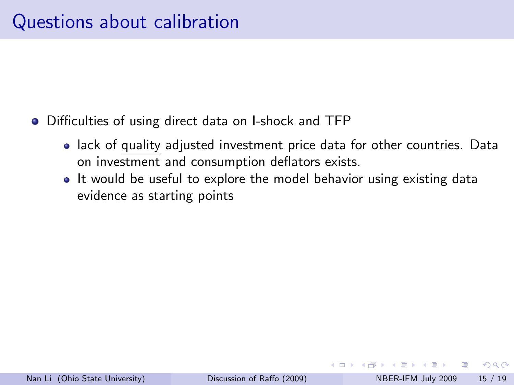- Difficulties of using direct data on I-shock and TFP
	- lack of quality adjusted investment price data for other countries. Data on investment and consumption deflators exists.
	- It would be useful to explore the model behavior using existing data evidence as starting points

 $\Omega$ 

→ 何 ▶ → ヨ ▶ → ヨ ▶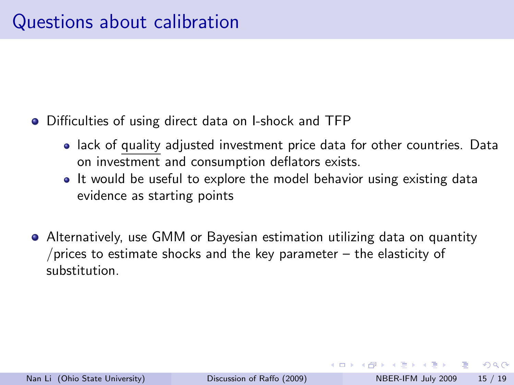- Difficulties of using direct data on I-shock and TFP
	- lack of quality adjusted investment price data for other countries. Data on investment and consumption deflators exists.
	- It would be useful to explore the model behavior using existing data evidence as starting points
- Alternatively, use GMM or Bayesian estimation utilizing data on quantity /prices to estimate shocks and the key parameter  $-$  the elasticity of substitution.

 $\Omega$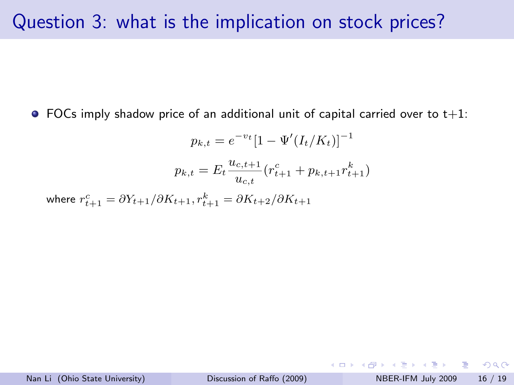#### Question 3: what is the implication on stock prices?

 $\bullet$  FOCs imply shadow price of an additional unit of capital carried over to t+1:

$$
p_{k,t} = e^{-v_t} [1 - \Psi'(I_t/K_t)]^{-1}
$$

$$
p_{k,t} = E_t \frac{u_{c,t+1}}{u_{c,t}} (r_{t+1}^c + p_{k,t+1}r_{t+1}^k)
$$

where  $r_{t+1}^c = \partial Y_{t+1}/\partial K_{t+1}, r_{t+1}^k = \partial K_{t+2}/\partial K_{t+1}$ 

 $\equiv$   $\cap$   $\alpha$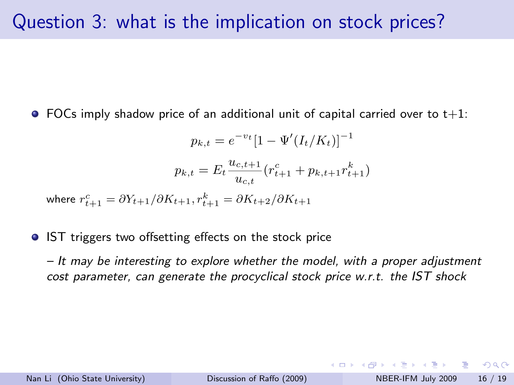$\bullet$  FOCs imply shadow price of an additional unit of capital carried over to t+1:

$$
p_{k,t} = e^{-v_t} [1 - \Psi'(I_t/K_t)]^{-1}
$$

$$
p_{k,t} = E_t \frac{u_{c,t+1}}{u_{c,t}} (r_{t+1}^c + p_{k,t+1}r_{t+1}^k)
$$

where  $r_{t+1}^c = \partial Y_{t+1}/\partial K_{t+1}, r_{t+1}^k = \partial K_{t+2}/\partial K_{t+1}$ 

**IST** triggers two offsetting effects on the stock price

– It may be interesting to explore whether the model, with a proper adjustment cost parameter, can generate the procyclical stock price w.r.t. the IST shock

**KOD KARD KED KED B YOUR**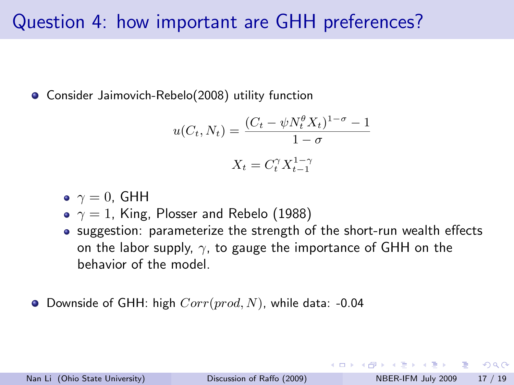#### Question 4: how important are GHH preferences?

Consider Jaimovich-Rebelo(2008) utility function

$$
u(C_t, N_t) = \frac{(C_t - \psi N_t^{\theta} X_t)^{1-\sigma} - 1}{1 - \sigma}
$$

$$
X_t = C_t^{\gamma} X_{t-1}^{1-\gamma}
$$

$$
\bullet\ \ \gamma=0,\ \mathsf{GHH}
$$

•  $\gamma = 1$ , King, Plosser and Rebelo (1988)

• suggestion: parameterize the strength of the short-run wealth effects on the labor supply,  $\gamma$ , to gauge the importance of GHH on the behavior of the model.

O Downside of GHH: high  $Corr(pred, N)$ , while data: -0.04

 $\Omega$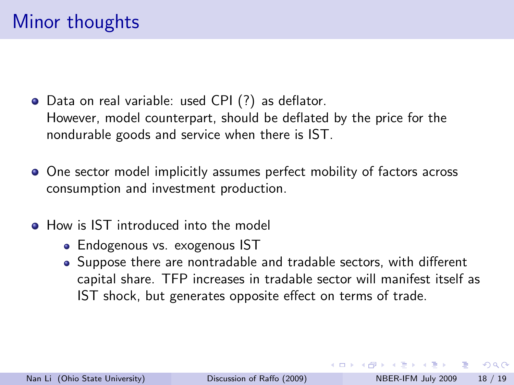- Data on real variable: used CPI (?) as deflator. However, model counterpart, should be deflated by the price for the nondurable goods and service when there is IST.
- One sector model implicitly assumes perfect mobility of factors across consumption and investment production.
- How is IST introduced into the model
	- **Endogenous vs. exogenous IST**
	- Suppose there are nontradable and tradable sectors, with different capital share. TFP increases in tradable sector will manifest itself as IST shock, but generates opposite effect on terms of trade.

 $\Omega$ 

- オート オート オート